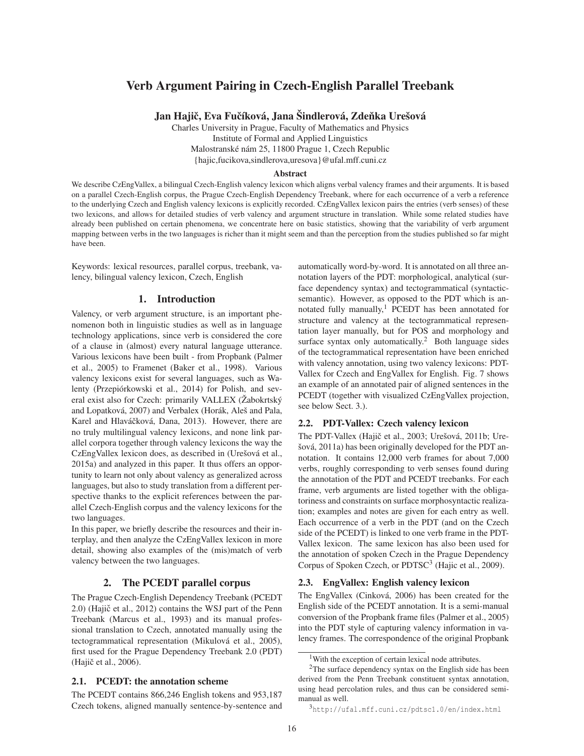# Verb Argument Pairing in Czech-English Parallel Treebank

Jan Hajič, Eva Fučíková, Jana Šindlerová, Zdeňka Urešová

Charles University in Prague, Faculty of Mathematics and Physics Institute of Formal and Applied Linguistics Malostranské nám 25, 11800 Prague 1, Czech Republic {hajic,fucikova,sindlerova,uresova}@ufal.mff.cuni.cz

#### Abstract

We describe CzEngVallex, a bilingual Czech-English valency lexicon which aligns verbal valency frames and their arguments. It is based on a parallel Czech-English corpus, the Prague Czech-English Dependency Treebank, where for each occurrence of a verb a reference to the underlying Czech and English valency lexicons is explicitly recorded. CzEngVallex lexicon pairs the entries (verb senses) of these two lexicons, and allows for detailed studies of verb valency and argument structure in translation. While some related studies have already been published on certain phenomena, we concentrate here on basic statistics, showing that the variability of verb argument mapping between verbs in the two languages is richer than it might seem and than the perception from the studies published so far might have been.

Keywords: lexical resources, parallel corpus, treebank, valency, bilingual valency lexicon, Czech, English

## 1. Introduction

Valency, or verb argument structure, is an important phenomenon both in linguistic studies as well as in language technology applications, since verb is considered the core of a clause in (almost) every natural language utterance. Various lexicons have been built - from Propbank (Palmer et al., 2005) to Framenet (Baker et al., 1998). Various valency lexicons exist for several languages, such as Walenty (Przepiórkowski et al., 2014) for Polish, and several exist also for Czech: primarily VALLEX (Žabokrtský and Lopatková, 2007) and Verbalex (Horák, Aleš and Pala, Karel and Hlaváčková, Dana, 2013). However, there are no truly multilingual valency lexicons, and none link parallel corpora together through valency lexicons the way the CzEngVallex lexicon does, as described in (Urešová et al., 2015a) and analyzed in this paper. It thus offers an opportunity to learn not only about valency as generalized across languages, but also to study translation from a different perspective thanks to the explicit references between the parallel Czech-English corpus and the valency lexicons for the two languages.

In this paper, we briefly describe the resources and their interplay, and then analyze the CzEngVallex lexicon in more detail, showing also examples of the (mis)match of verb valency between the two languages.

# 2. The PCEDT parallel corpus

The Prague Czech-English Dependency Treebank (PCEDT 2.0) (Hajič et al., 2012) contains the WSJ part of the Penn Treebank (Marcus et al., 1993) and its manual professional translation to Czech, annotated manually using the tectogrammatical representation (Mikulová et al., 2005), first used for the Prague Dependency Treebank 2.0 (PDT) (Hajič et al., 2006).

### 2.1. PCEDT: the annotation scheme

The PCEDT contains 866,246 English tokens and 953,187 Czech tokens, aligned manually sentence-by-sentence and automatically word-by-word. It is annotated on all three annotation layers of the PDT: morphological, analytical (surface dependency syntax) and tectogrammatical (syntacticsemantic). However, as opposed to the PDT which is annotated fully manually,<sup>1</sup> PCEDT has been annotated for structure and valency at the tectogrammatical representation layer manually, but for POS and morphology and surface syntax only automatically.<sup>2</sup> Both language sides of the tectogrammatical representation have been enriched with valency annotation, using two valency lexicons: PDT-Vallex for Czech and EngVallex for English. Fig. 7 shows an example of an annotated pair of aligned sentences in the PCEDT (together with visualized CzEngVallex projection, see below Sect. 3.).

### 2.2. PDT-Vallex: Czech valency lexicon

The PDT-Vallex (Hajič et al., 2003; Urešová, 2011b; Urešová, 2011a) has been originally developed for the PDT annotation. It contains 12,000 verb frames for about 7,000 verbs, roughly corresponding to verb senses found during the annotation of the PDT and PCEDT treebanks. For each frame, verb arguments are listed together with the obligatoriness and constraints on surface morphosyntactic realization; examples and notes are given for each entry as well. Each occurrence of a verb in the PDT (and on the Czech side of the PCEDT) is linked to one verb frame in the PDT-Vallex lexicon. The same lexicon has also been used for the annotation of spoken Czech in the Prague Dependency Corpus of Spoken Czech, or PDTSC<sup>3</sup> (Hajic et al., 2009).

### 2.3. EngVallex: English valency lexicon

The EngVallex (Cinková, 2006) has been created for the English side of the PCEDT annotation. It is a semi-manual conversion of the Propbank frame files (Palmer et al., 2005) into the PDT style of capturing valency information in valency frames. The correspondence of the original Propbank

<sup>1</sup>With the exception of certain lexical node attributes.

<sup>&</sup>lt;sup>2</sup>The surface dependency syntax on the English side has been derived from the Penn Treebank constituent syntax annotation, using head percolation rules, and thus can be considered semimanual as well.

<sup>3</sup>http://ufal.mff.cuni.cz/pdtsc1.0/en/index.html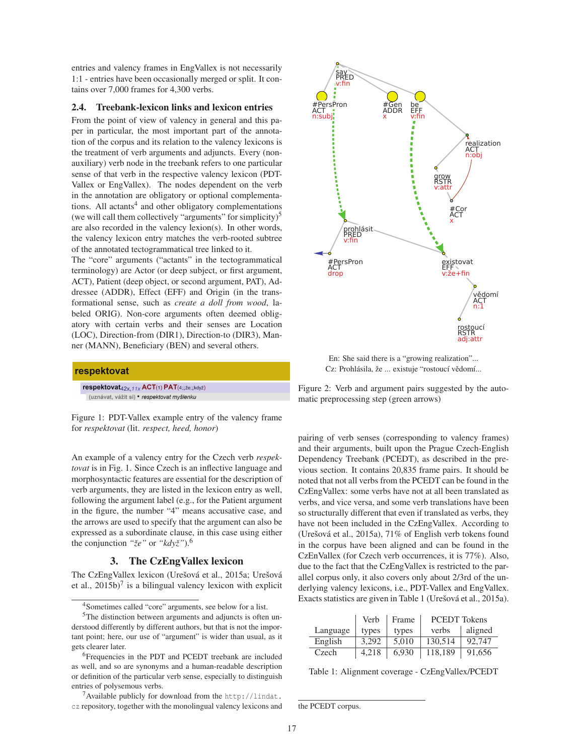entries and valency frames in EngVallex is not necessarily 1:1 - entries have been occasionally merged or split. It contains over 7,000 frames for 4,300 verbs.

#### 2.4. Treebank-lexicon links and lexicon entries

From the point of view of valency in general and this paper in particular, the most important part of the annotation of the corpus and its relation to the valency lexicons is the treatment of verb arguments and adjuncts. Every (nonauxiliary) verb node in the treebank refers to one particular sense of that verb in the respective valency lexicon (PDT-Vallex or EngVallex). The nodes dependent on the verb in the annotation are obligatory or optional complementations. All actants<sup>4</sup> and other obligatory complementations (we will call them collectively "arguments" for simplicity) $5$ are also recorded in the valency lexion(s). In other words, the valency lexicon entry matches the verb-rooted subtree of the annotated tectogrammatical tree linked to it.

The "core" arguments ("actants" in the tectogrammatical terminology) are Actor (or deep subject, or first argument, ACT), Patient (deep object, or second argument, PAT), Addressee (ADDR), Effect (EFF) and Origin (in the transformational sense, such as *create a doll from wood*, labeled ORIG). Non-core arguments often deemed obligatory with certain verbs and their senses are Location (LOC), Direction-from (DIR1), Direction-to (DIR3), Manner (MANN), Beneficiary (BEN) and several others.



Figure 1: PDT-Vallex example entry of the valency frame for *respektovat* (lit. *respect, heed, honor*)

An example of a valency entry for the Czech verb *respektovat* is in Fig. 1. Since Czech is an inflective language and morphosyntactic features are essential for the description of verb arguments, they are listed in the lexicon entry as well, following the argument label (e.g., for the Patient argument in the figure, the number "4" means accusative case, and the arrows are used to specify that the argument can also be expressed as a subordinate clause, in this case using either the conjunction *"že"* or *"když"*).<sup>6</sup>

### 3. The CzEngVallex lexicon

The CzEngVallex lexicon (Urešová et al., 2015a; Urešová et al.,  $2015b$ <sup>7</sup> is a bilingual valency lexicon with explicit

<sup>7</sup>Available publicly for download from the http://lindat. cz repository, together with the monolingual valency lexicons and



En: She said there is a "growing realization"... Cz: Prohlásila, že ... existuje "rostoucí vědomí...

Figure 2: Verb and argument pairs suggested by the automatic preprocessing step (green arrows)

pairing of verb senses (corresponding to valency frames) and their arguments, built upon the Prague Czech-English Dependency Treebank (PCEDT), as described in the previous section. It contains 20,835 frame pairs. It should be noted that not all verbs from the PCEDT can be found in the CzEngVallex: some verbs have not at all been translated as verbs, and vice versa, and some verb translations have been so structurally different that even if translated as verbs, they have not been included in the CzEngVallex. According to (Urešová et al., 2015a), 71% of English verb tokens found in the corpus have been aligned and can be found in the CzEnVallex (for Czech verb occurrences, it is 77%). Also, due to the fact that the CzEngVallex is restricted to the parallel corpus only, it also covers only about 2/3rd of the underlying valency lexicons, i.e., PDT-Vallex and EngVallex. Exacts statistics are given in Table 1 (Urešová et al., 2015a).

|          | Verb  | Frame | <b>PCEDT</b> Tokens |         |
|----------|-------|-------|---------------------|---------|
| Language | types | types | verbs               | aligned |
| English  | 3.292 | 5.010 | 130.514             | 92,747  |
| Czech    | 4.218 | 6.930 | 118,189             | 91,656  |

Table 1: Alignment coverage - CzEngVallex/PCEDT

<sup>4</sup>Sometimes called "core" arguments, see below for a list.

<sup>&</sup>lt;sup>5</sup>The distinction between arguments and adjuncts is often understood differently by different authors, but that is not the important point; here, our use of "argument" is wider than usual, as it gets clearer later.

<sup>6</sup>Frequencies in the PDT and PCEDT treebank are included as well, and so are synonyms and a human-readable description or definition of the particular verb sense, especially to distinguish entries of polysemous verbs.

the PCEDT corpus.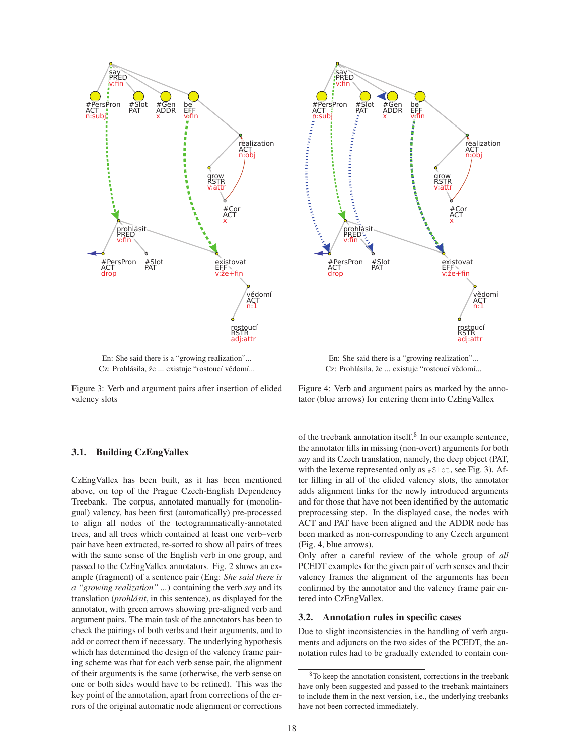

En: She said there is a "growing realization"... Cz: Prohlásila, že ... existuje "rostoucí vědomí...

Figure 3: Verb and argument pairs after insertion of elided valency slots

### 3.1. Building CzEngVallex

CzEngVallex has been built, as it has been mentioned above, on top of the Prague Czech-English Dependency Treebank. The corpus, annotated manually for (monolingual) valency, has been first (automatically) pre-processed to align all nodes of the tectogrammatically-annotated trees, and all trees which contained at least one verb–verb pair have been extracted, re-sorted to show all pairs of trees with the same sense of the English verb in one group, and passed to the CzEngVallex annotators. Fig. 2 shows an example (fragment) of a sentence pair (Eng: *She said there is a "growing realization" ...*) containing the verb *say* and its translation (*prohlásit*, in this sentence), as displayed for the annotator, with green arrows showing pre-aligned verb and argument pairs. The main task of the annotators has been to check the pairings of both verbs and their arguments, and to add or correct them if necessary. The underlying hypothesis which has determined the design of the valency frame pairing scheme was that for each verb sense pair, the alignment of their arguments is the same (otherwise, the verb sense on one or both sides would have to be refined). This was the key point of the annotation, apart from corrections of the errors of the original automatic node alignment or corrections



En: She said there is a "growing realization"... Cz: Prohlásila, že ... existuje "rostoucí vědomí...

Figure 4: Verb and argument pairs as marked by the annotator (blue arrows) for entering them into CzEngVallex

of the treebank annotation itself.<sup>8</sup> In our example sentence, the annotator fills in missing (non-overt) arguments for both *say* and its Czech translation, namely, the deep object (PAT, with the lexeme represented only as #Slot, see Fig. 3). After filling in all of the elided valency slots, the annotator adds alignment links for the newly introduced arguments and for those that have not been identified by the automatic preprocessing step. In the displayed case, the nodes with ACT and PAT have been aligned and the ADDR node has been marked as non-corresponding to any Czech argument (Fig. 4, blue arrows).

Only after a careful review of the whole group of *all* PCEDT examples for the given pair of verb senses and their valency frames the alignment of the arguments has been confirmed by the annotator and the valency frame pair entered into CzEngVallex.

#### 3.2. Annotation rules in specific cases

Due to slight inconsistencies in the handling of verb arguments and adjuncts on the two sides of the PCEDT, the annotation rules had to be gradually extended to contain con-

<sup>8</sup>To keep the annotation consistent, corrections in the treebank have only been suggested and passed to the treebank maintainers to include them in the next version, i.e., the underlying treebanks have not been corrected immediately.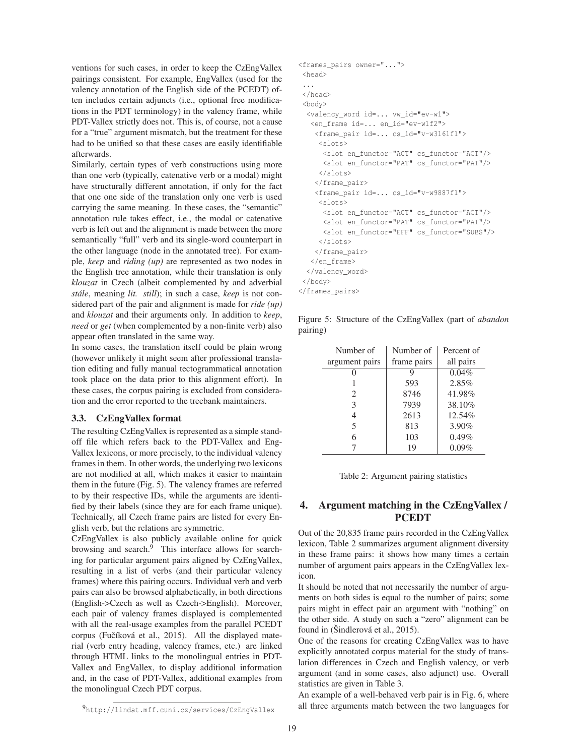ventions for such cases, in order to keep the CzEngVallex pairings consistent. For example, EngVallex (used for the valency annotation of the English side of the PCEDT) often includes certain adjuncts (i.e., optional free modifications in the PDT terminology) in the valency frame, while PDT-Vallex strictly does not. This is, of course, not a cause for a "true" argument mismatch, but the treatment for these had to be unified so that these cases are easily identifiable afterwards.

Similarly, certain types of verb constructions using more than one verb (typically, catenative verb or a modal) might have structurally different annotation, if only for the fact that one one side of the translation only one verb is used carrying the same meaning. In these cases, the "semantic" annotation rule takes effect, i.e., the modal or catenative verb is left out and the alignment is made between the more semantically "full" verb and its single-word counterpart in the other language (node in the annotated tree). For example, *keep* and *riding (up)* are represented as two nodes in the English tree annotation, while their translation is only *klouzat* in Czech (albeit complemented by and adverbial *stále*, meaning *lit. still*); in such a case, *keep* is not considered part of the pair and alignment is made for *ride (up)* and *klouzat* and their arguments only. In addition to *keep*, *need* or *get* (when complemented by a non-finite verb) also appear often translated in the same way.

In some cases, the translation itself could be plain wrong (however unlikely it might seem after professional translation editing and fully manual tectogrammatical annotation took place on the data prior to this alignment effort). In these cases, the corpus pairing is excluded from consideration and the error reported to the treebank maintainers.

### 3.3. CzEngVallex format

The resulting CzEngVallex is represented as a simple standoff file which refers back to the PDT-Vallex and Eng-Vallex lexicons, or more precisely, to the individual valency frames in them. In other words, the underlying two lexicons are not modified at all, which makes it easier to maintain them in the future (Fig. 5). The valency frames are referred to by their respective IDs, while the arguments are identified by their labels (since they are for each frame unique). Technically, all Czech frame pairs are listed for every English verb, but the relations are symmetric.

CzEngVallex is also publicly available online for quick browsing and search. $\hat{9}$  This interface allows for searching for particular argument pairs aligned by CzEngVallex, resulting in a list of verbs (and their particular valency frames) where this pairing occurs. Individual verb and verb pairs can also be browsed alphabetically, in both directions (English->Czech as well as Czech->English). Moreover, each pair of valency frames displayed is complemented with all the real-usage examples from the parallel PCEDT corpus (Fučíková et al., 2015). All the displayed material (verb entry heading, valency frames, etc.) are linked through HTML links to the monolingual entries in PDT-Vallex and EngVallex, to display additional information and, in the case of PDT-Vallex, additional examples from the monolingual Czech PDT corpus.

```
<frames_pairs owner="...">
<head>
 ...
</head>
<br/>hody>
 <valency_word id=... vw_id="ev-w1">
  <en_frame id=... en_id="ev-w1f2">
   <frame_pair id=... cs_id="v-w3161f1">
     <slots>
      <slot en_functor="ACT" cs_functor="ACT"/>
     <slot en_functor="PAT" cs_functor="PAT"/>
     </slots>
    </frame_pair>
    <frame_pair id=... cs_id="v-w9887f1">
     \langleslots>
      <slot en_functor="ACT" cs_functor="ACT"/>
      <slot en_functor="PAT" cs_functor="PAT"/>
     <slot en_functor="EFF" cs_functor="SUBS"/>
     \langle/slots>
    </frame_pair>
   </en_frame>
  </valency_word>
 </body>
</frames_pairs>
```
Figure 5: Structure of the CzEngVallex (part of *abandon* pairing)

| Number of      | Number of   | Percent of |  |
|----------------|-------------|------------|--|
| argument pairs | frame pairs | all pairs  |  |
|                | 9           | $0.04\%$   |  |
|                | 593         | 2.85%      |  |
| $\mathcal{L}$  | 8746        | 41.98%     |  |
| 3              | 7939        | 38.10%     |  |
| 4              | 2613        | 12.54%     |  |
| 5              | 813         | 3.90%      |  |
| 6              | 103         | 0.49%      |  |
|                | 19          | 0.09%      |  |

| Table 2: Argument pairing statistics |  |
|--------------------------------------|--|
|                                      |  |

# 4. Argument matching in the CzEngVallex / PCEDT

Out of the 20,835 frame pairs recorded in the CzEngVallex lexicon, Table 2 summarizes argument alignment diversity in these frame pairs: it shows how many times a certain number of argument pairs appears in the CzEngVallex lexicon.

It should be noted that not necessarily the number of arguments on both sides is equal to the number of pairs; some pairs might in effect pair an argument with "nothing" on the other side. A study on such a "zero" alignment can be found in (Šindlerová et al., 2015).

One of the reasons for creating CzEngVallex was to have explicitly annotated corpus material for the study of translation differences in Czech and English valency, or verb argument (and in some cases, also adjunct) use. Overall statistics are given in Table 3.

An example of a well-behaved verb pair is in Fig. 6, where all three arguments match between the two languages for

<sup>9</sup>http://lindat.mff.cuni.cz/services/CzEngVallex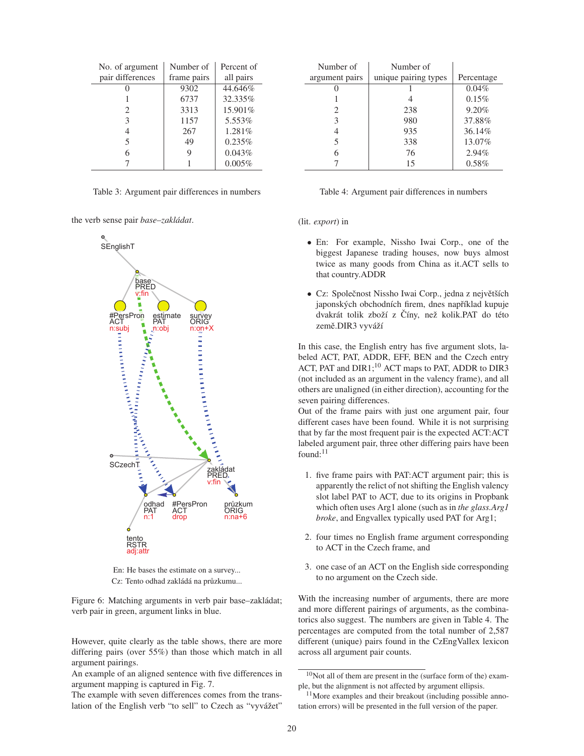| No. of argument  | Number of   | Percent of |  |
|------------------|-------------|------------|--|
| pair differences | frame pairs | all pairs  |  |
|                  | 9302        | 44.646%    |  |
|                  | 6737        | 32.335%    |  |
| 2                | 3313        | 15.901%    |  |
| 3                | 1157        | 5.553%     |  |
| 4                | 267         | 1.281%     |  |
| 5                | 49          | 0.235%     |  |
| 6                | 9           | 0.043%     |  |
|                  |             | 0.005%     |  |

Table 3: Argument pair differences in numbers

the verb sense pair *base*–*zakládat*.



En: He bases the estimate on a survey... Cz: Tento odhad zakládá na průzkumu...

Figure 6: Matching arguments in verb pair base–zakládat; verb pair in green, argument links in blue.

However, quite clearly as the table shows, there are more differing pairs (over 55%) than those which match in all argument pairings.

An example of an aligned sentence with five differences in argument mapping is captured in Fig. 7.

The example with seven differences comes from the translation of the English verb "to sell" to Czech as "vyvážet"

| Number of      | Number of            |            |
|----------------|----------------------|------------|
| argument pairs | unique pairing types | Percentage |
|                |                      | 0.04%      |
|                |                      | 0.15%      |
| 2              | 238                  | 9.20%      |
| 3              | 980                  | 37.88%     |
| 4              | 935                  | 36.14%     |
| 5              | 338                  | 13.07%     |
| 6              | 76                   | 2.94%      |
|                | 15                   | 0.58%      |

| Table 4: Argument pair differences in numbers |  |  |  |  |  |  |
|-----------------------------------------------|--|--|--|--|--|--|
|-----------------------------------------------|--|--|--|--|--|--|

#### (lit. *export*) in

- En: For example, Nissho Iwai Corp., one of the biggest Japanese trading houses, now buys almost twice as many goods from China as it.ACT sells to that country.ADDR
- Cz: Společnost Nissho Iwai Corp., jedna z největších japonských obchodních firem, dnes například kupuje dvakrát tolik zboží z Číny, než kolik.PAT do této země.DIR3 vyváží

In this case, the English entry has five argument slots, labeled ACT, PAT, ADDR, EFF, BEN and the Czech entry ACT, PAT and DIR1;<sup>10</sup> ACT maps to PAT, ADDR to DIR3 (not included as an argument in the valency frame), and all others are unaligned (in either direction), accounting for the seven pairing differences.

Out of the frame pairs with just one argument pair, four different cases have been found. While it is not surprising that by far the most frequent pair is the expected ACT:ACT labeled argument pair, three other differing pairs have been found: $11$ 

- 1. five frame pairs with PAT:ACT argument pair; this is apparently the relict of not shifting the English valency slot label PAT to ACT, due to its origins in Propbank which often uses Arg1 alone (such as in *the glass.Arg1 broke*, and Engvallex typically used PAT for Arg1;
- 2. four times no English frame argument corresponding to ACT in the Czech frame, and
- 3. one case of an ACT on the English side corresponding to no argument on the Czech side.

With the increasing number of arguments, there are more and more different pairings of arguments, as the combinatorics also suggest. The numbers are given in Table 4. The percentages are computed from the total number of 2,587 different (unique) pairs found in the CzEngVallex lexicon across all argument pair counts.

<sup>10</sup>Not all of them are present in the (surface form of the) example, but the alignment is not affected by argument ellipsis.

<sup>&</sup>lt;sup>11</sup>More examples and their breakout (including possible annotation errors) will be presented in the full version of the paper.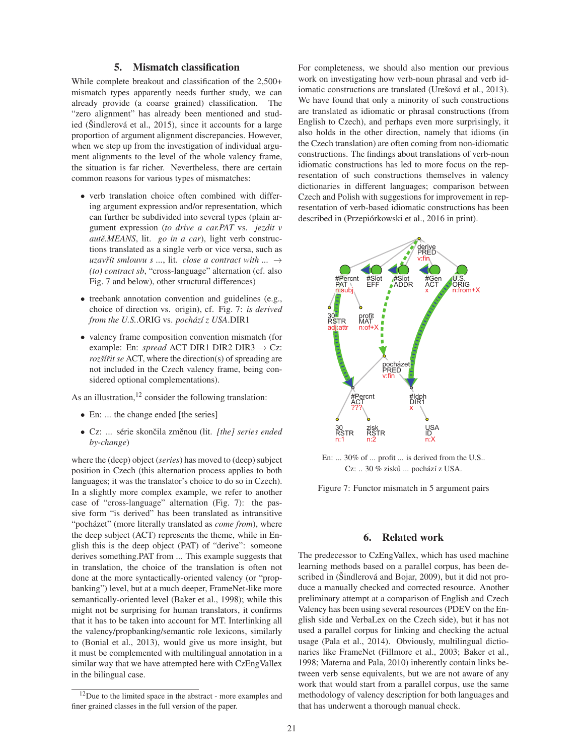### 5. Mismatch classification

While complete breakout and classification of the 2,500+ mismatch types apparently needs further study, we can already provide (a coarse grained) classification. The "zero alignment" has already been mentioned and studied (Šindlerová et al., 2015), since it accounts for a large proportion of argument alignment discrepancies. However, when we step up from the investigation of individual argument alignments to the level of the whole valency frame, the situation is far richer. Nevertheless, there are certain common reasons for various types of mismatches:

- verb translation choice often combined with differing argument expression and/or representation, which can further be subdivided into several types (plain argument expression (*to drive a car.PAT* vs. *jezdit v autě.MEANS*, lit. *go in a car*), light verb constructions translated as a single verb or vice versa, such as *uzavřít smlouvu s ...,* lit. *close a contract with ...*  $\rightarrow$ *(to) contract sb*, "cross-language" alternation (cf. also Fig. 7 and below), other structural differences)
- treebank annotation convention and guidelines (e.g., choice of direction vs. origin), cf. Fig. 7: *is derived from the U.S.*.ORIG vs. *pochází z USA*.DIR1
- valency frame composition convention mismatch (for example: En: *spread* ACT DIR1 DIR2 DIR3  $\rightarrow$  Cz: *rozšíˇrit se* ACT, where the direction(s) of spreading are not included in the Czech valency frame, being considered optional complementations).

As an illustration,<sup>12</sup> consider the following translation:

- En: ... the change ended [the series]
- Cz: ... série skončila změnou (lit. [the] series ended *by-change*)

where the (deep) object (*series*) has moved to (deep) subject position in Czech (this alternation process applies to both languages; it was the translator's choice to do so in Czech). In a slightly more complex example, we refer to another case of "cross-language" alternation (Fig. 7): the passive form "is derived" has been translated as intransitive "pocházet" (more literally translated as *come from*), where the deep subject (ACT) represents the theme, while in English this is the deep object (PAT) of "derive": someone derives something.PAT from ... This example suggests that in translation, the choice of the translation is often not done at the more syntactically-oriented valency (or "propbanking") level, but at a much deeper, FrameNet-like more semantically-oriented level (Baker et al., 1998); while this might not be surprising for human translators, it confirms that it has to be taken into account for MT. Interlinking all the valency/propbanking/semantic role lexicons, similarly to (Bonial et al., 2013), would give us more insight, but it must be complemented with multilingual annotation in a similar way that we have attempted here with CzEngVallex in the bilingual case.

For completeness, we should also mention our previous work on investigating how verb-noun phrasal and verb idiomatic constructions are translated (Urešová et al., 2013). We have found that only a minority of such constructions are translated as idiomatic or phrasal constructions (from English to Czech), and perhaps even more surprisingly, it also holds in the other direction, namely that idioms (in the Czech translation) are often coming from non-idiomatic constructions. The findings about translations of verb-noun idiomatic constructions has led to more focus on the representation of such constructions themselves in valency dictionaries in different languages; comparison between Czech and Polish with suggestions for improvement in representation of verb-based idiomatic constructions has been described in (Przepiórkowski et al., 2016 in print).



En: ... 30% of ... profit ... is derived from the U.S.. Cz: .. 30 % zisků ... pochází z USA.

Figure 7: Functor mismatch in 5 argument pairs

### 6. Related work

The predecessor to CzEngVallex, which has used machine learning methods based on a parallel corpus, has been described in (Šindlerová and Bojar, 2009), but it did not produce a manually checked and corrected resource. Another preliminary attempt at a comparison of English and Czech Valency has been using several resources (PDEV on the English side and VerbaLex on the Czech side), but it has not used a parallel corpus for linking and checking the actual usage (Pala et al., 2014). Obviously, multilingual dictionaries like FrameNet (Fillmore et al., 2003; Baker et al., 1998; Materna and Pala, 2010) inherently contain links between verb sense equivalents, but we are not aware of any work that would start from a parallel corpus, use the same methodology of valency description for both languages and that has underwent a thorough manual check.

<sup>&</sup>lt;sup>12</sup>Due to the limited space in the abstract - more examples and finer grained classes in the full version of the paper.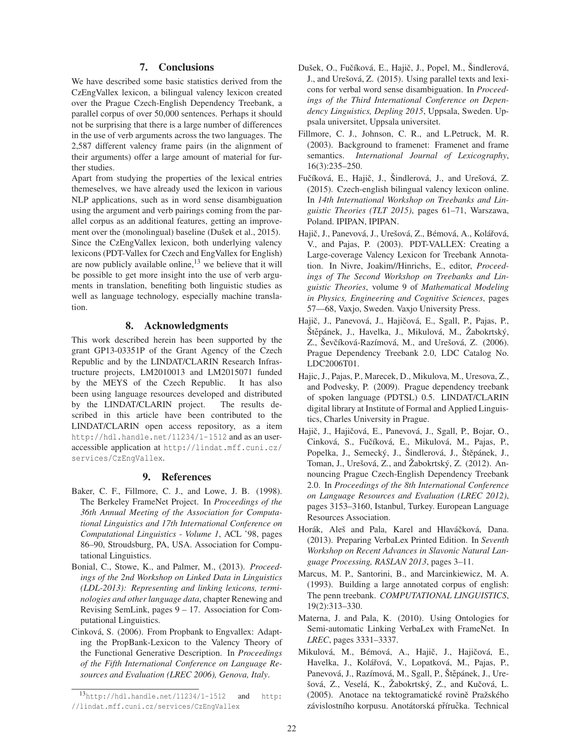# 7. Conclusions

We have described some basic statistics derived from the CzEngVallex lexicon, a bilingual valency lexicon created over the Prague Czech-English Dependency Treebank, a parallel corpus of over 50,000 sentences. Perhaps it should not be surprising that there is a large number of differences in the use of verb arguments across the two languages. The 2,587 different valency frame pairs (in the alignment of their arguments) offer a large amount of material for further studies.

Apart from studying the properties of the lexical entries themeselves, we have already used the lexicon in various NLP applications, such as in word sense disambiguation using the argument and verb pairings coming from the parallel corpus as an additional features, getting an improvement over the (monolingual) baseline (Dušek et al., 2015). Since the CzEngVallex lexicon, both underlying valency lexicons (PDT-Vallex for Czech and EngVallex for English) are now publicly available online, $13$  we believe that it will be possible to get more insight into the use of verb arguments in translation, benefiting both linguistic studies as well as language technology, especially machine translation.

# 8. Acknowledgments

This work described herein has been supported by the grant GP13-03351P of the Grant Agency of the Czech Republic and by the LINDAT/CLARIN Research Infrastructure projects, LM2010013 and LM2015071 funded by the MEYS of the Czech Republic. It has also been using language resources developed and distributed by the LINDAT/CLARIN project. The results described in this article have been contributed to the LINDAT/CLARIN open access repository, as a item http://hdl.handle.net/11234/1-1512 and as an useraccessible application at http://lindat.mff.cuni.cz/ services/CzEngVallex.

### 9. References

- Baker, C. F., Fillmore, C. J., and Lowe, J. B. (1998). The Berkeley FrameNet Project. In *Proceedings of the 36th Annual Meeting of the Association for Computational Linguistics and 17th International Conference on Computational Linguistics - Volume 1*, ACL '98, pages 86–90, Stroudsburg, PA, USA. Association for Computational Linguistics.
- Bonial, C., Stowe, K., and Palmer, M., (2013). *Proceedings of the 2nd Workshop on Linked Data in Linguistics (LDL-2013): Representing and linking lexicons, terminologies and other language data*, chapter Renewing and Revising SemLink, pages 9 – 17. Association for Computational Linguistics.
- Cinková, S. (2006). From Propbank to Engvallex: Adapting the PropBank-Lexicon to the Valency Theory of the Functional Generative Description. In *Proceedings of the Fifth International Conference on Language Resources and Evaluation (LREC 2006), Genova, Italy*.
- Dušek, O., Fučíková, E., Hajič, J., Popel, M., Šindlerová, J., and Urešová, Z. (2015). Using parallel texts and lexicons for verbal word sense disambiguation. In *Proceedings of the Third International Conference on Dependency Linguistics, Depling 2015*, Uppsala, Sweden. Uppsala universitet, Uppsala universitet.
- Fillmore, C. J., Johnson, C. R., and L.Petruck, M. R. (2003). Background to framenet: Framenet and frame semantics. *International Journal of Lexicography*, 16(3):235–250.
- Fučíková, E., Hajič, J., Šindlerová, J., and Urešová, Z. (2015). Czech-english bilingual valency lexicon online. In *14th International Workshop on Treebanks and Linguistic Theories (TLT 2015)*, pages 61–71, Warszawa, Poland. IPIPAN, IPIPAN.
- Hajič, J., Panevová, J., Urešová, Z., Bémová, A., Kolářová, V., and Pajas, P. (2003). PDT-VALLEX: Creating a Large-coverage Valency Lexicon for Treebank Annotation. In Nivre, Joakim//Hinrichs, E., editor, *Proceedings of The Second Workshop on Treebanks and Linguistic Theories*, volume 9 of *Mathematical Modeling in Physics, Engineering and Cognitive Sciences*, pages 57—68, Vaxjo, Sweden. Vaxjo University Press.
- Hajič, J., Panevová, J., Hajičová, E., Sgall, P., Pajas, P., Štěpánek, J., Havelka, J., Mikulová, M., Žabokrtský, Z., Ševčíková-Razímová, M., and Urešová, Z. (2006). Prague Dependency Treebank 2.0, LDC Catalog No. LDC2006T01.
- Hajic, J., Pajas, P., Marecek, D., Mikulova, M., Uresova, Z., and Podvesky, P. (2009). Prague dependency treebank of spoken language (PDTSL) 0.5. LINDAT/CLARIN digital library at Institute of Formal and Applied Linguistics, Charles University in Prague.
- Hajič, J., Hajičová, E., Panevová, J., Sgall, P., Bojar, O., Cinková, S., Fučíková, E., Mikulová, M., Pajas, P., Popelka, J., Semecký, J., Šindlerová, J., Štěpánek, J., Toman, J., Urešová, Z., and Žabokrtský, Z. (2012). Announcing Prague Czech-English Dependency Treebank 2.0. In *Proceedings of the 8th International Conference on Language Resources and Evaluation (LREC 2012)*, pages 3153–3160, Istanbul, Turkey. European Language Resources Association.
- Horák, Aleš and Pala, Karel and Hlaváčková, Dana. (2013). Preparing VerbaLex Printed Edition. In *Seventh Workshop on Recent Advances in Slavonic Natural Language Processing, RASLAN 2013*, pages 3–11.
- Marcus, M. P., Santorini, B., and Marcinkiewicz, M. A. (1993). Building a large annotated corpus of english: The penn treebank. *COMPUTATIONAL LINGUISTICS*, 19(2):313–330.
- Materna, J. and Pala, K. (2010). Using Ontologies for Semi-automatic Linking VerbaLex with FrameNet. In *LREC*, pages 3331–3337.
- Mikulová, M., Bémová, A., Hajič, J., Hajičová, E., Havelka, J., Kolářová, V., Lopatková, M., Pajas, P., Panevová, J., Razímová, M., Sgall, P., Štěpánek, J., Urešová, Z., Veselá, K., Žabokrtský, Z., and Kučová, L. (2005). Anotace na tektogramatické rovině Pražského závislostního korpusu. Anotátorská příručka. Technical

<sup>13</sup>http://hdl.handle.net/11234/1-1512 and http: //lindat.mff.cuni.cz/services/CzEngVallex